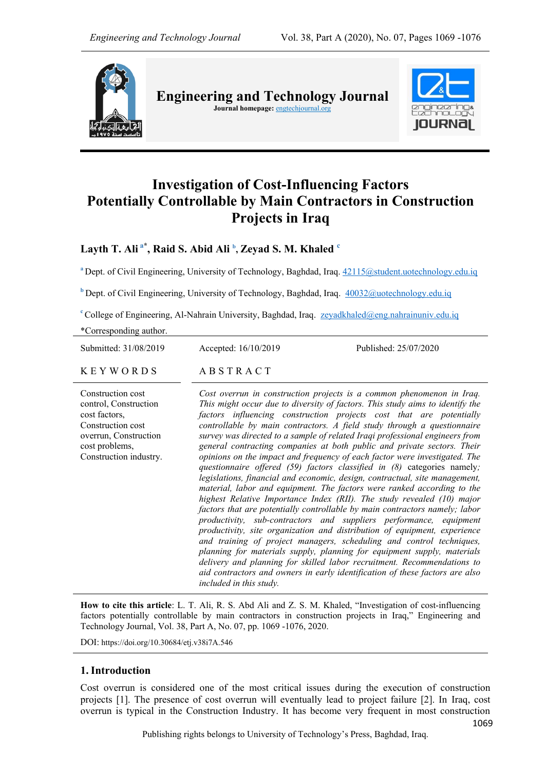

**Engineering and Technology Journal Journal homepage:** engtechjournal.org



# **Investigation of Cost-Influencing Factors Potentially Controllable by Main Contractors in Construction Projects in Iraq**

**Layth T. Ali a\* , Raid S. Abid Ali <sup>b</sup> , Zeyad S. M. Khaled <sup>c</sup>**

<sup>a</sup> Dept. of Civil Engineering, University of Technology, Baghdad, Iraq. [42115@student.uotechnology.edu.iq](mailto:42115@student.uotechnology.edu.iq)

**<sup>b</sup>** Dept. of Civil Engineering, University of Technology, Baghdad, Iraq. [40032@uotechnology.edu.iq](mailto:40032@uotechnology.edu.iq)

<sup>c</sup>College of Engineering, Al-Nahrain University, Baghdad, Iraq. zeyadkhaled@eng.nahrainuniv.edu.iq

\*Corresponding author.

Submitted: 31/08/2019 Accepted: 16/10/2019 Published: 25/07/2020  $K$  E Y W O R D S A B S T R A C T Construction cost control, Construction cost factors, Construction cost overrun, Construction *Cost overrun in construction projects is a common phenomenon in Iraq. This might occur due to diversity of factors. This study aims to identify the factors influencing construction projects cost that are potentially controllable by main contractors. A field study through a questionnaire survey was directed to a sample of related Iraqi professional engineers from* 

cost problems, Construction industry.

*general contracting companies at both public and private sectors. Their opinions on the impact and frequency of each factor were investigated. The questionnaire offered (59) factors classified in (8)* categories namely*; legislations, financial and economic, design, contractual, site management, material, labor and equipment. The factors were ranked according to the highest Relative Importance Index (RII). The study revealed (10) major factors that are potentially controllable by main contractors namely; labor productivity, sub-contractors and suppliers performance, equipment productivity, site organization and distribution of equipment, experience and training of project managers, scheduling and control techniques, planning for materials supply, planning for equipment supply, materials delivery and planning for skilled labor recruitment. Recommendations to aid contractors and owners in early identification of these factors are also included in this study.*

**How to cite this article**: L. T. Ali, R. S. Abd Ali and Z. S. M. Khaled, "Investigation of cost-influencing factors potentially controllable by main contractors in construction projects in Iraq," Engineering and Technology Journal, Vol. 38, Part A, No. 07, pp. 1069 -1076, 2020.

DOI: https://doi.org/10.30684/etj.v38i7A.546

# **1. Introduction**

1069 Cost overrun is considered one of the most critical issues during the execution of construction projects [1]. The presence of cost overrun will eventually lead to project failure [2]. In Iraq, cost overrun is typical in the Construction Industry. It has become very frequent in most construction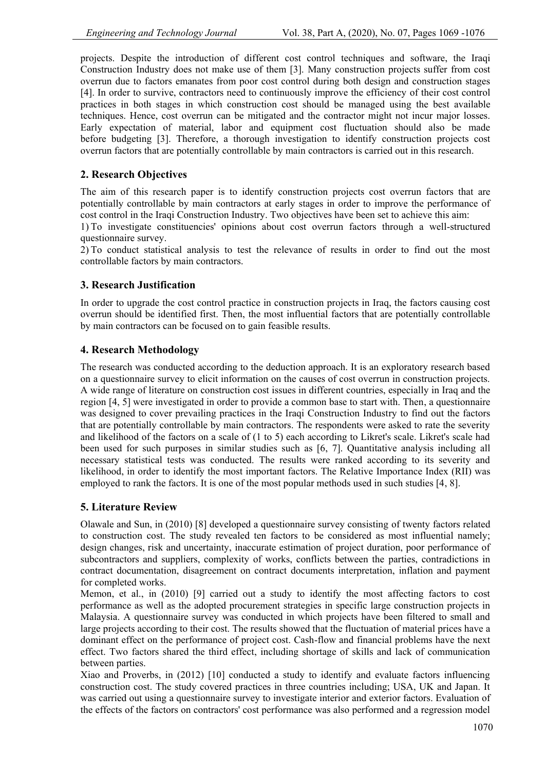projects. Despite the introduction of different cost control techniques and software, the Iraqi Construction Industry does not make use of them [3]. Many construction projects suffer from cost overrun due to factors emanates from poor cost control during both design and construction stages [4]. In order to survive, contractors need to continuously improve the efficiency of their cost control practices in both stages in which construction cost should be managed using the best available techniques. Hence, cost overrun can be mitigated and the contractor might not incur major losses. Early expectation of material, labor and equipment cost fluctuation should also be made before budgeting [3]. Therefore, a thorough investigation to identify construction projects cost overrun factors that are potentially controllable by main contractors is carried out in this research.

# **2. Research Objectives**

The aim of this research paper is to identify construction projects cost overrun factors that are potentially controllable by main contractors at early stages in order to improve the performance of cost control in the Iraqi Construction Industry. Two objectives have been set to achieve this aim:

1) To investigate constituencies' opinions about cost overrun factors through a well-structured questionnaire survey.

2) To conduct statistical analysis to test the relevance of results in order to find out the most controllable factors by main contractors.

# **3. Research Justification**

In order to upgrade the cost control practice in construction projects in Iraq, the factors causing cost overrun should be identified first. Then, the most influential factors that are potentially controllable by main contractors can be focused on to gain feasible results.

# **4. Research Methodology**

The research was conducted according to the deduction approach. It is an exploratory research based on a questionnaire survey to elicit information on the causes of cost overrun in construction projects. A wide range of literature on construction cost issues in different countries, especially in Iraq and the region [4, 5] were investigated in order to provide a common base to start with. Then, a questionnaire was designed to cover prevailing practices in the Iraqi Construction Industry to find out the factors that are potentially controllable by main contractors. The respondents were asked to rate the severity and likelihood of the factors on a scale of (1 to 5) each according to Likret's scale. Likret's scale had been used for such purposes in similar studies such as [6, 7]. Quantitative analysis including all necessary statistical tests was conducted. The results were ranked according to its severity and likelihood, in order to identify the most important factors. The Relative Importance Index (RII) was employed to rank the factors. It is one of the most popular methods used in such studies [4, 8].

# **5. Literature Review**

Olawale and Sun, in (2010) [8] developed a questionnaire survey consisting of twenty factors related to construction cost. The study revealed ten factors to be considered as most influential namely; design changes, risk and uncertainty, inaccurate estimation of project duration, poor performance of subcontractors and suppliers, complexity of works, conflicts between the parties, contradictions in contract documentation, disagreement on contract documents interpretation, inflation and payment for completed works.

Memon, et al., in (2010) [9] carried out a study to identify the most affecting factors to cost performance as well as the adopted procurement strategies in specific large construction projects in Malaysia. A questionnaire survey was conducted in which projects have been filtered to small and large projects according to their cost. The results showed that the fluctuation of material prices have a dominant effect on the performance of project cost. Cash-flow and financial problems have the next effect. Two factors shared the third effect, including shortage of skills and lack of communication between parties.

Xiao and Proverbs, in (2012) [10] conducted a study to identify and evaluate factors influencing construction cost. The study covered practices in three countries including; USA, UK and Japan. It was carried out using a questionnaire survey to investigate interior and exterior factors. Evaluation of the effects of the factors on contractors' cost performance was also performed and a regression model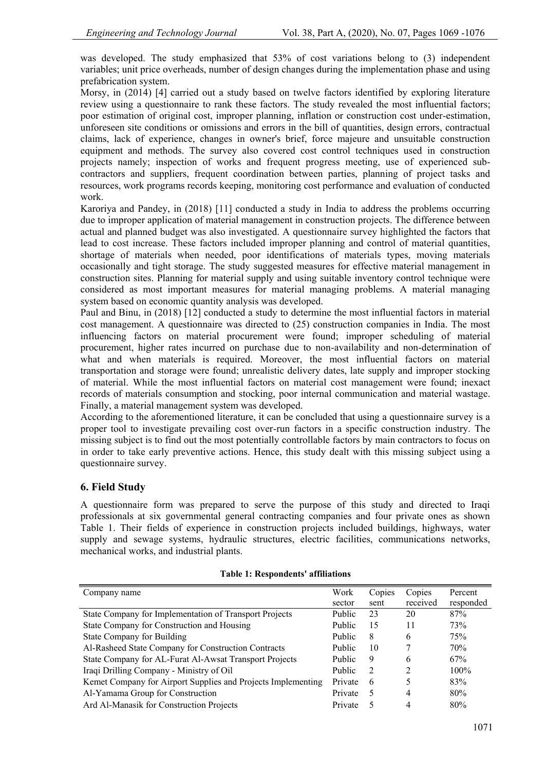was developed. The study emphasized that 53% of cost variations belong to (3) independent variables; unit price overheads, number of design changes during the implementation phase and using prefabrication system.

Morsy, in (2014) [4] carried out a study based on twelve factors identified by exploring literature review using a questionnaire to rank these factors. The study revealed the most influential factors; poor estimation of original cost, improper planning, inflation or construction cost under-estimation, unforeseen site conditions or omissions and errors in the bill of quantities, design errors, contractual claims, lack of experience, changes in owner's brief, force majeure and unsuitable construction equipment and methods. The survey also covered cost control techniques used in construction projects namely; inspection of works and frequent progress meeting, use of experienced subcontractors and suppliers, frequent coordination between parties, planning of project tasks and resources, work programs records keeping, monitoring cost performance and evaluation of conducted work.

Karoriya and Pandey, in (2018) [11] conducted a study in India to address the problems occurring due to improper application of material management in construction projects. The difference between actual and planned budget was also investigated. A questionnaire survey highlighted the factors that lead to cost increase. These factors included improper planning and control of material quantities, shortage of materials when needed, poor identifications of materials types, moving materials occasionally and tight storage. The study suggested measures for effective material management in construction sites. Planning for material supply and using suitable inventory control technique were considered as most important measures for material managing problems. A material managing system based on economic quantity analysis was developed.

Paul and Binu, in (2018) [12] conducted a study to determine the most influential factors in material cost management. A questionnaire was directed to (25) construction companies in India. The most influencing factors on material procurement were found; improper scheduling of material procurement, higher rates incurred on purchase due to non-availability and non-determination of what and when materials is required. Moreover, the most influential factors on material transportation and storage were found; unrealistic delivery dates, late supply and improper stocking of material. While the most influential factors on material cost management were found; inexact records of materials consumption and stocking, poor internal communication and material wastage. Finally, a material management system was developed.

According to the aforementioned literature, it can be concluded that using a questionnaire survey is a proper tool to investigate prevailing cost over-run factors in a specific construction industry. The missing subject is to find out the most potentially controllable factors by main contractors to focus on in order to take early preventive actions. Hence, this study dealt with this missing subject using a questionnaire survey.

# **6. Field Study**

A questionnaire form was prepared to serve the purpose of this study and directed to Iraqi professionals at six governmental general contracting companies and four private ones as shown Table 1. Their fields of experience in construction projects included buildings, highways, water supply and sewage systems, hydraulic structures, electric facilities, communications networks, mechanical works, and industrial plants.

| Company name                                                 | Work          | Copies | Copies         | Percent   |
|--------------------------------------------------------------|---------------|--------|----------------|-----------|
|                                                              | sector        | sent   | received       | responded |
| State Company for Implementation of Transport Projects       | Public        | 23     | 20             | 87%       |
| State Company for Construction and Housing                   | Public        | 15     | 11             | 73%       |
| <b>State Company for Building</b>                            | Public        | 8      | 6              | 75%       |
| Al-Rasheed State Company for Construction Contracts          | <b>Public</b> | 10     |                | 70%       |
| State Company for AL-Furat Al-Awsat Transport Projects       | Public        | 9      | 6              | 67%       |
| Iraqi Drilling Company - Ministry of Oil                     | Public        | 2      | $\mathfrak{D}$ | $100\%$   |
| Kemet Company for Airport Supplies and Projects Implementing | Private       | 6      |                | 83%       |
| Al-Yamama Group for Construction                             | Private       | 5      | 4              | 80%       |
| Ard Al-Manasik for Construction Projects                     | Private       |        | 4              | 80%       |

# **Table 1: Respondents' affiliations**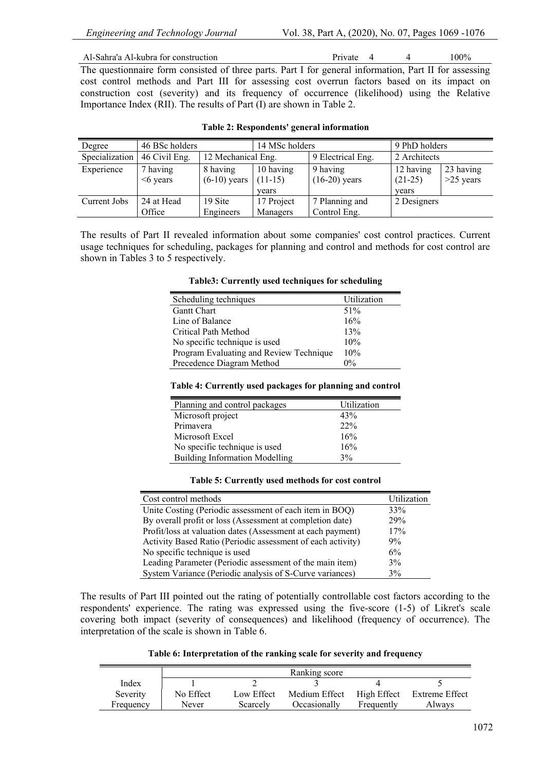Al-Sahra'a Al-kubra for construction Private 4 4 100%

The questionnaire form consisted of three parts. Part I for general information, Part II for assessing cost control methods and Part III for assessing cost overrun factors based on its impact on construction cost (severity) and its frequency of occurrence (likelihood) using the Relative Importance Index (RII). The results of Part (I) are shown in Table 2.

| Degree         | 46 BSc holders         |                            | 14 MSc holders         |                             | 9 PhD holders          |                          |
|----------------|------------------------|----------------------------|------------------------|-----------------------------|------------------------|--------------------------|
| Specialization | 46 Civil Eng.          | 12 Mechanical Eng.         |                        | 9 Electrical Eng.           | 2 Architects           |                          |
| Experience     | 7 having<br>$<6$ years | 8 having<br>$(6-10)$ years | 10 having<br>$(11-15)$ | 9 having<br>$(16-20)$ years | 12 having<br>$(21-25)$ | 23 having<br>$>25$ years |
|                |                        |                            | vears                  |                             | vears                  |                          |
| Current Jobs   | 24 at Head             | 19 Site                    | 17 Project             | 7 Planning and              | 2 Designers            |                          |
|                | Office                 | Engineers                  | Managers               | Control Eng.                |                        |                          |

The results of Part II revealed information about some companies' cost control practices. Current usage techniques for scheduling, packages for planning and control and methods for cost control are shown in Tables 3 to 5 respectively.

#### **Table3: Currently used techniques for scheduling**

| Scheduling techniques                   | Utilization |
|-----------------------------------------|-------------|
| <b>Gantt Chart</b>                      | 51%         |
| Line of Balance                         | 16%         |
| Critical Path Method                    | 13%         |
| No specific technique is used           | 10%         |
| Program Evaluating and Review Technique | 10%         |
| Precedence Diagram Method               | $0\%$       |

# **Table 4: Currently used packages for planning and control**

| Planning and control packages         | Utilization |
|---------------------------------------|-------------|
| Microsoft project                     | 43%         |
| Primayera                             | 22%         |
| Microsoft Excel                       | 16%         |
| No specific technique is used         | 16%         |
| <b>Building Information Modelling</b> | 3%          |
|                                       |             |

#### **Table 5: Currently used methods for cost control**

| Cost control methods                                        | Utilization |
|-------------------------------------------------------------|-------------|
| Unite Costing (Periodic assessment of each item in BOQ)     | 33%         |
| By overall profit or loss (Assessment at completion date)   | 29%         |
| Profit/loss at valuation dates (Assessment at each payment) | 17%         |
| Activity Based Ratio (Periodic assessment of each activity) | 9%          |
| No specific technique is used                               | 6%          |
| Leading Parameter (Periodic assessment of the main item)    | 3%          |
| System Variance (Periodic analysis of S-Curve variances)    | 3%          |

The results of Part III pointed out the rating of potentially controllable cost factors according to the respondents' experience. The rating was expressed using the five-score (1-5) of Likret's scale covering both impact (severity of consequences) and likelihood (frequency of occurrence). The interpretation of the scale is shown in Table 6.

**Table 6: Interpretation of the ranking scale for severity and frequency**

|           |           |            | Ranking score |             |                |
|-----------|-----------|------------|---------------|-------------|----------------|
| Index     |           |            |               |             |                |
| Severity  | No Effect | Low Effect | Medium Effect | High Effect | Extreme Effect |
| Frequency | Never     | Scarcely   | Occasionally  | Frequently  | Alwavs         |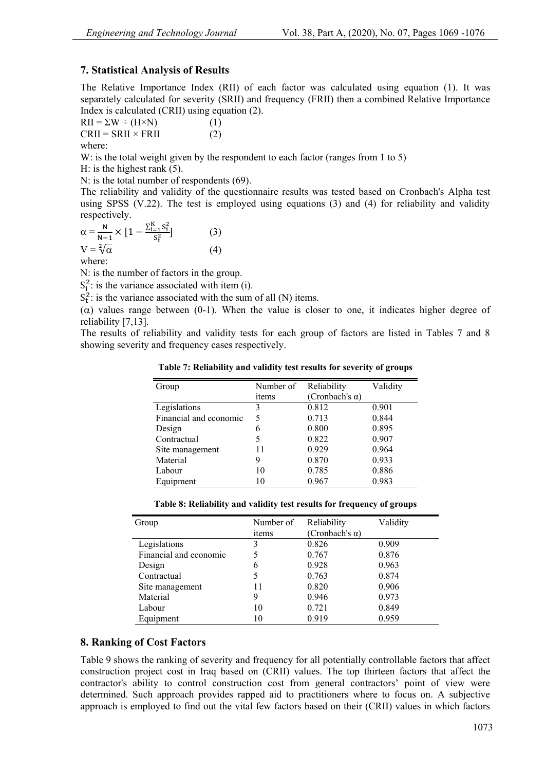# **7. Statistical Analysis of Results**

The Relative Importance Index (RII) of each factor was calculated using equation (1). It was separately calculated for severity (SRII) and frequency (FRII) then a combined Relative Importance Index is calculated (CRII) using equation (2).

$$
RII = \Sigma W \div (H \times N)
$$
 (1)  
CRII = SRII × FRII (2)

where:

W: is the total weight given by the respondent to each factor (ranges from 1 to 5)

H: is the highest rank (5).

N: is the total number of respondents (69).

The reliability and validity of the questionnaire results was tested based on Cronbach's Alpha test using SPSS  $(V.22)$ . The test is employed using equations (3) and (4) for reliability and validity respectively.

$$
\alpha = \frac{N}{N-1} \times \left[1 - \frac{\sum_{i=1}^{K} S_i^2}{S_t^2}\right]
$$
\n
$$
V = \sqrt[2]{\alpha}
$$
\n(3)

where:

N: is the number of factors in the group.

 $S_i^2$ : is the variance associated with item (i).

 $S_t^2$ : is the variance associated with the sum of all (N) items.

( $\alpha$ ) values range between (0-1). When the value is closer to one, it indicates higher degree of reliability [7,13].

The results of reliability and validity tests for each group of factors are listed in Tables 7 and 8 showing severity and frequency cases respectively.

**Table 7: Reliability and validity test results for severity of groups**

| Group                  | Number of | Reliability            | Validity |
|------------------------|-----------|------------------------|----------|
|                        | items     | (Cronbach's $\alpha$ ) |          |
| Legislations           | 3         | 0.812                  | 0.901    |
| Financial and economic | 5         | 0.713                  | 0.844    |
| Design                 | 6         | 0.800                  | 0.895    |
| Contractual            | 5         | 0.822                  | 0.907    |
| Site management        | 11        | 0.929                  | 0.964    |
| Material               | 9         | 0.870                  | 0.933    |
| Labour                 | 10        | 0.785                  | 0.886    |
| Equipment              | 10        | 0.967                  | 0.983    |

| Table 8: Reliability and validity test results for frequency of groups |  |  |
|------------------------------------------------------------------------|--|--|
|------------------------------------------------------------------------|--|--|

| Group                  | Number of | Reliability            | Validity |
|------------------------|-----------|------------------------|----------|
|                        | items     | (Cronbach's $\alpha$ ) |          |
| Legislations           | 3         | 0.826                  | 0.909    |
| Financial and economic |           | 0.767                  | 0.876    |
| Design                 | 6         | 0.928                  | 0.963    |
| Contractual            |           | 0.763                  | 0.874    |
| Site management        | 11        | 0.820                  | 0.906    |
| Material               | 9         | 0.946                  | 0.973    |
| Labour                 | 10        | 0.721                  | 0.849    |
| Equipment              | 10        | 0.919                  | 0.959    |

# **8. Ranking of Cost Factors**

Table 9 shows the ranking of severity and frequency for all potentially controllable factors that affect construction project cost in Iraq based on (CRII) values. The top thirteen factors that affect the contractor's ability to control construction cost from general contractors' point of view were determined. Such approach provides rapped aid to practitioners where to focus on. A subjective approach is employed to find out the vital few factors based on their (CRII) values in which factors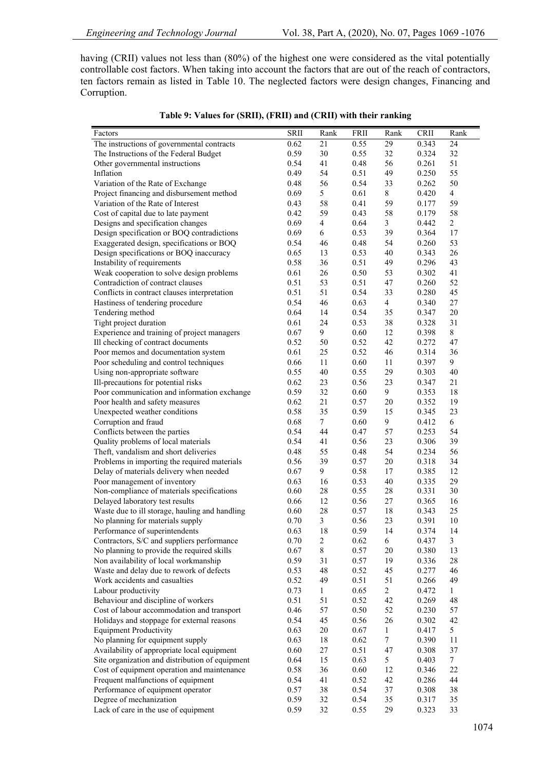having (CRII) values not less than (80%) of the highest one were considered as the vital potentially controllable cost factors. When taking into account the factors that are out of the reach of contractors, ten factors remain as listed in Table 10. The neglected factors were design changes, Financing and Corruption.

|                                                                                     | <b>SRII</b>  | Rank                            | <b>FRII</b>  | Rank           | CRII           | Rank            |
|-------------------------------------------------------------------------------------|--------------|---------------------------------|--------------|----------------|----------------|-----------------|
| Factors<br>The instructions of governmental contracts                               | 0.62         | 21                              | 0.55         | 29             | 0.343          | 24              |
| The Instructions of the Federal Budget                                              | 0.59         | 30                              | 0.55         | 32             | 0.324          | 32              |
| Other governmental instructions                                                     | 0.54         | 41                              | 0.48         | 56             | 0.261          | 51              |
| Inflation                                                                           | 0.49         | 54                              | 0.51         | 49             | 0.250          | 55              |
| Variation of the Rate of Exchange                                                   | 0.48         | 56                              | 0.54         | 33             | 0.262          | 50              |
| Project financing and disbursement method                                           | 0.69         | 5                               | 0.61         | 8              | 0.420          | $\overline{4}$  |
| Variation of the Rate of Interest                                                   | 0.43         | 58                              | 0.41         | 59             | 0.177          | 59              |
| Cost of capital due to late payment                                                 | 0.42         | 59                              | 0.43         | 58             | 0.179          | 58              |
| Designs and specification changes                                                   | 0.69         | $\overline{4}$                  | 0.64         | 3              | 0.442          | $\overline{c}$  |
| Design specification or BOQ contradictions                                          | 0.69         | 6                               | 0.53         | 39             | 0.364          | 17              |
| Exaggerated design, specifications or BOQ                                           | 0.54         | 46                              | 0.48         | 54             | 0.260          | 53              |
| Design specifications or BOQ inaccuracy                                             | 0.65         | 13                              | 0.53         | 40             | 0.343          | 26              |
| Instability of requirements                                                         | 0.58         | 36                              | 0.51         | 49             | 0.296          | 43              |
| Weak cooperation to solve design problems                                           | 0.61         | 26                              | 0.50         | 53             | 0.302          | 41              |
| Contradiction of contract clauses                                                   | 0.51         | 53                              | 0.51         | 47             | 0.260          | 52              |
| Conflicts in contract clauses interpretation                                        | 0.51         | 51                              | 0.54         | 33             | 0.280          | 45              |
| Hastiness of tendering procedure                                                    | 0.54         | 46                              | 0.63         | $\overline{4}$ | 0.340          | $27\,$          |
| Tendering method                                                                    | 0.64         | 14                              | 0.54         | 35             | 0.347          | 20              |
| Tight project duration                                                              | 0.61         | 24                              | 0.53         | 38             | 0.328          | 31              |
| Experience and training of project managers                                         | 0.67         | 9                               | 0.60         | 12             | 0.398          | 8               |
| Ill checking of contract documents                                                  | 0.52         | 50                              | 0.52         | 42             | 0.272          | 47              |
| Poor memos and documentation system                                                 | 0.61         | 25                              | 0.52         | 46             | 0.314          | 36              |
| Poor scheduling and control techniques                                              | 0.66         | 11                              | 0.60         | 11             | 0.397          | 9               |
| Using non-appropriate software                                                      | 0.55         | $40\,$                          | 0.55         | 29             | 0.303          | 40              |
| Ill-precautions for potential risks                                                 | 0.62         | 23                              | 0.56         | 23             | 0.347          | 21              |
| Poor communication and information exchange                                         | 0.59         | 32                              | 0.60         | 9              | 0.353          | 18              |
| Poor health and safety measures                                                     | 0.62         | 21                              | 0.57         | $20\,$         | 0.352          | 19              |
| Unexpected weather conditions                                                       | 0.58         | 35                              | 0.59         | 15             | 0.345          | 23              |
| Corruption and fraud                                                                | 0.68         | $\tau$                          | 0.60         | 9              | 0.412          | 6               |
| Conflicts between the parties                                                       | 0.54         | 44                              | 0.47         | 57             | 0.253          | 54              |
| Quality problems of local materials                                                 | 0.54         | 41                              | 0.56         | 23             | 0.306          | 39              |
| Theft, vandalism and short deliveries                                               | 0.48         | 55                              | 0.48         | 54             | 0.234          | 56              |
| Problems in importing the required materials                                        | 0.56         | 39                              | 0.57         | $20\,$         | 0.318          | 34              |
| Delay of materials delivery when needed                                             | 0.67         | 9                               | 0.58         | 17             | 0.385          | 12              |
| Poor management of inventory                                                        | 0.63         | 16                              | 0.53         | $40\,$         | 0.335          | 29              |
| Non-compliance of materials specifications                                          | 0.60         | 28                              | 0.55         | 28             | 0.331          | 30              |
| Delayed laboratory test results                                                     | 0.66         | 12                              | 0.56         | 27             | 0.365          | 16              |
| Waste due to ill storage, hauling and handling                                      | 0.60         | $28\,$                          | 0.57         | 18             | 0.343          | 25              |
| No planning for materials supply                                                    | 0.70         | $\mathfrak{Z}$                  | 0.56         | 23             | 0.391          | 10              |
| Performance of superintendents                                                      | 0.63         | 18                              | 0.59         | 14             | 0.374          | 14              |
| Contractors, S/C and suppliers performance                                          | 0.70         | $\boldsymbol{2}$<br>$\,$ 8 $\,$ | 0.62<br>0.57 | 6<br>$20\,$    | 0.437<br>0.380 | $\mathfrak{Z}$  |
| No planning to provide the required skills<br>Non availability of local workmanship | 0.67<br>0.59 |                                 |              | 19             | 0.336          | 13              |
| Waste and delay due to rework of defects                                            | 0.53         | 31<br>48                        | 0.57<br>0.52 | 45             | 0.277          | 28<br>46        |
| Work accidents and casualties                                                       | 0.52         | 49                              | 0.51         | 51             | 0.266          | 49              |
| Labour productivity                                                                 | 0.73         | $\mathbf{1}$                    | 0.65         | $\overline{c}$ | 0.472          | 1               |
| Behaviour and discipline of workers                                                 | 0.51         | 51                              | 0.52         | 42             | 0.269          | 48              |
| Cost of labour accommodation and transport                                          | 0.46         | 57                              | 0.50         | 52             | 0.230          | 57              |
| Holidays and stoppage for external reasons                                          | 0.54         | 45                              | 0.56         | 26             | 0.302          | 42              |
| <b>Equipment Productivity</b>                                                       | 0.63         | 20                              | 0.67         | $\mathbf{1}$   | 0.417          | 5               |
| No planning for equipment supply                                                    | 0.63         | 18                              | 0.62         | 7              | 0.390          | 11              |
| Availability of appropriate local equipment                                         | 0.60         | 27                              | 0.51         | 47             | 0.308          | 37              |
| Site organization and distribution of equipment                                     | 0.64         | 15                              | 0.63         | 5              | 0.403          | $7\phantom{.0}$ |
| Cost of equipment operation and maintenance                                         | 0.58         | 36                              | 0.60         | 12             | 0.346          | 22              |
| Frequent malfunctions of equipment                                                  | 0.54         | 41                              | 0.52         | 42             | 0.286          | 44              |
| Performance of equipment operator                                                   | 0.57         | 38                              | 0.54         | 37             | 0.308          | 38              |
| Degree of mechanization                                                             | 0.59         | 32                              | 0.54         | 35             | 0.317          | 35              |
| Lack of care in the use of equipment                                                | 0.59         | 32                              | 0.55         | 29             | 0.323          | 33              |
|                                                                                     |              |                                 |              |                |                |                 |

|  | Table 9: Values for (SRII), (FRII) and (CRII) with their ranking |  |
|--|------------------------------------------------------------------|--|
|--|------------------------------------------------------------------|--|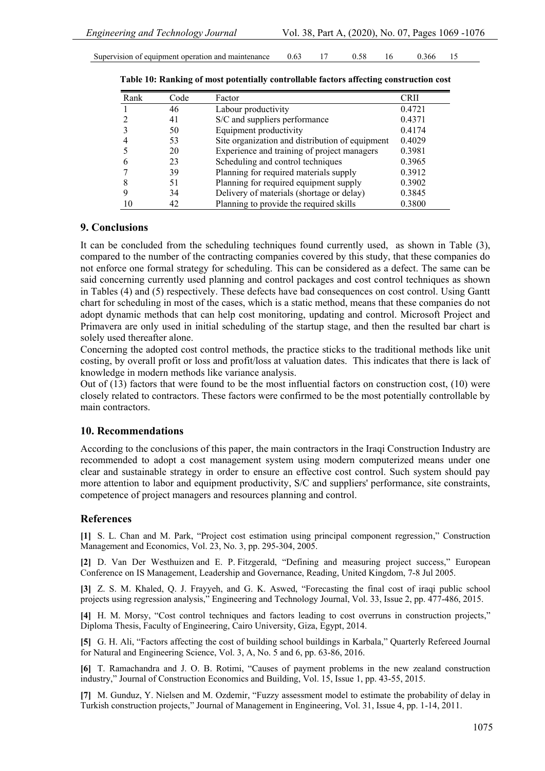| coperation and maintenance.<br>Supervision of equipment |  |  |  |  | .ht<br>. |  |
|---------------------------------------------------------|--|--|--|--|----------|--|
|---------------------------------------------------------|--|--|--|--|----------|--|

| Rank | Code | Factor                                          | CRII   |
|------|------|-------------------------------------------------|--------|
|      | 46   | Labour productivity                             | 0.4721 |
|      | 41   | S/C and suppliers performance                   | 0.4371 |
|      | 50   | Equipment productivity                          | 0.4174 |
|      | 53   | Site organization and distribution of equipment | 0.4029 |
|      | 20   | Experience and training of project managers     | 0.3981 |
|      | 23   | Scheduling and control techniques               | 0.3965 |
|      | 39   | Planning for required materials supply          | 0.3912 |
|      | 51   | Planning for required equipment supply          | 0.3902 |
|      | 34   | Delivery of materials (shortage or delay)       | 0.3845 |
|      | 42   | Planning to provide the required skills         | 0.3800 |

#### **9. Conclusions**

It can be concluded from the scheduling techniques found currently used, as shown in Table (3), compared to the number of the contracting companies covered by this study, that these companies do not enforce one formal strategy for scheduling. This can be considered as a defect. The same can be said concerning currently used planning and control packages and cost control techniques as shown in Tables (4) and (5) respectively. These defects have bad consequences on cost control. Using Gantt chart for scheduling in most of the cases, which is a static method, means that these companies do not adopt dynamic methods that can help cost monitoring, updating and control. Microsoft Project and Primavera are only used in initial scheduling of the startup stage, and then the resulted bar chart is solely used thereafter alone.

Concerning the adopted cost control methods, the practice sticks to the traditional methods like unit costing, by overall profit or loss and profit/loss at valuation dates. This indicates that there is lack of knowledge in modern methods like variance analysis.

Out of (13) factors that were found to be the most influential factors on construction cost, (10) were closely related to contractors. These factors were confirmed to be the most potentially controllable by main contractors.

#### **10. Recommendations**

According to the conclusions of this paper, the main contractors in the Iraqi Construction Industry are recommended to adopt a cost management system using modern computerized means under one clear and sustainable strategy in order to ensure an effective cost control. Such system should pay more attention to labor and equipment productivity, S/C and suppliers' performance, site constraints, competence of project managers and resources planning and control.

#### **References**

**[1]** S. L. Chan and M. Park, "Project cost estimation using principal component regression," Construction Management and Economics, Vol. 23, No. 3, pp. 295-304, 2005.

**[2]** D. Van Der Westhuizen and E. P. Fitzgerald, "Defining and measuring project success," European Conference on IS Management, Leadership and Governance, Reading, United Kingdom, 7-8 Jul 2005.

**[3]** Z. S. M. Khaled, Q. J. Frayyeh, and G. K. Aswed, "Forecasting the final cost of iraqi public school projects using regression analysis," Engineering and Technology Journal, Vol. 33, Issue 2, pp. 477-486, 2015.

**[4]** H. M. Morsy, "Cost control techniques and factors leading to cost overruns in construction projects," Diploma Thesis, Faculty of Engineering, Cairo University, Giza, Egypt, 2014.

**[5]** G. H. Ali, "Factors affecting the cost of building school buildings in Karbala," Quarterly Refereed Journal for Natural and Engineering Science, Vol. 3, A, No. 5 and 6, pp. 63-86, 2016.

**[6]** T. Ramachandra and J. O. B. Rotimi, "Causes of payment problems in the new zealand construction industry," Journal of Construction Economics and Building, Vol. 15, Issue 1, pp. 43-55, 2015.

**[7]** M. Gunduz, Y. Nielsen and M. Ozdemir, "Fuzzy assessment model to estimate the probability of delay in Turkish construction projects," Journal of Management in Engineering, Vol. 31, Issue 4, pp. 1-14, 2011.